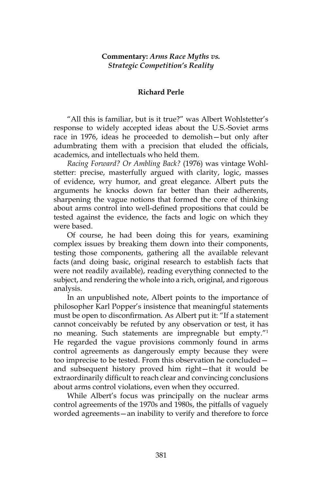## **Commentary:** *Arms Race Myths vs. Strategic Competition's Reality*

## **Richard Perle**

"All this is familiar, but is it true?" was Albert Wohlstetter's response to widely accepted ideas about the U.S.-Soviet arms race in 1976, ideas he proceeded to demolish—but only after adumbrating them with a precision that eluded the officials, academics, and intellectuals who held them.

*Racing Forward? Or Ambling Back?* (1976) was vintage Wohlstetter: precise, masterfully argued with clarity, logic, masses of evidence, wry humor, and great elegance. Albert puts the arguments he knocks down far better than their adherents, sharpening the vague notions that formed the core of thinking about arms control into well-defined propositions that could be tested against the evidence, the facts and logic on which they were based.

Of course, he had been doing this for years, examining complex issues by breaking them down into their components, testing those components, gathering all the available relevant facts (and doing basic, original research to establish facts that were not readily available), reading everything connected to the subject, and rendering the whole into a rich, original, and rigorous analysis.

In an unpublished note, Albert points to the importance of philosopher Karl Popper's insistence that meaningful statements must be open to disconfirmation. As Albert put it: "If a statement cannot conceivably be refuted by any observation or test, it has no meaning. Such statements are impregnable but empty."1 He regarded the vague provisions commonly found in arms control agreements as dangerously empty because they were too imprecise to be tested. From this observation he concluded and subsequent history proved him right—that it would be extraordinarily difficult to reach clear and convincing conclusions about arms control violations, even when they occurred.

While Albert's focus was principally on the nuclear arms control agreements of the 1970s and 1980s, the pitfalls of vaguely worded agreements—an inability to verify and therefore to force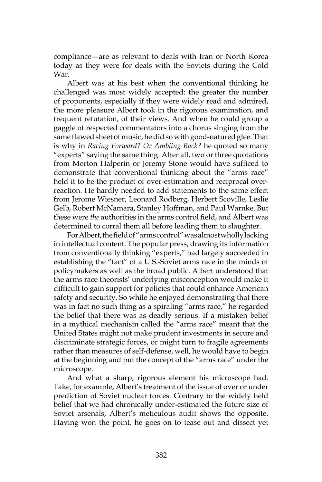compliance—are as relevant to deals with Iran or North Korea today as they were for deals with the Soviets during the Cold War.

Albert was at his best when the conventional thinking he challenged was most widely accepted: the greater the number of proponents, especially if they were widely read and admired, the more pleasure Albert took in the rigorous examination, and frequent refutation, of their views. And when he could group a gaggle of respected commentators into a chorus singing from the same flawed sheet of music, he did so with good-natured glee. That is why in *Racing Forward? Or Ambling Back?* he quoted so many "experts" saying the same thing. After all, two or three quotations from Morton Halperin or Jeremy Stone would have sufficed to demonstrate that conventional thinking about the "arms race" held it to be the product of over-estimation and reciprocal overreaction. He hardly needed to add statements to the same effect from Jerome Wiesner, Leonard Rodberg, Herbert Scoville, Leslie Gelb, Robert McNamara, Stanley Hoffman, and Paul Warnke. But these were *the* authorities in the arms control field, and Albert was determined to corral them all before leading them to slaughter.

For Albert, the field of "arms control" was almost wholly lacking in intellectual content. The popular press, drawing its information from conventionally thinking "experts," had largely succeeded in establishing the "fact" of a U.S.-Soviet arms race in the minds of policymakers as well as the broad public. Albert understood that the arms race theorists' underlying misconception would make it difficult to gain support for policies that could enhance American safety and security. So while he enjoyed demonstrating that there was in fact no such thing as a spiraling "arms race," he regarded the belief that there was as deadly serious. If a mistaken belief in a mythical mechanism called the "arms race" meant that the United States might not make prudent investments in secure and discriminate strategic forces, or might turn to fragile agreements rather than measures of self-defense, well, he would have to begin at the beginning and put the concept of the "arms race" under the microscope.

And what a sharp, rigorous element his microscope had. Take, for example, Albert's treatment of the issue of over or under prediction of Soviet nuclear forces. Contrary to the widely held belief that we had chronically under-estimated the future size of Soviet arsenals, Albert's meticulous audit shows the opposite. Having won the point, he goes on to tease out and dissect yet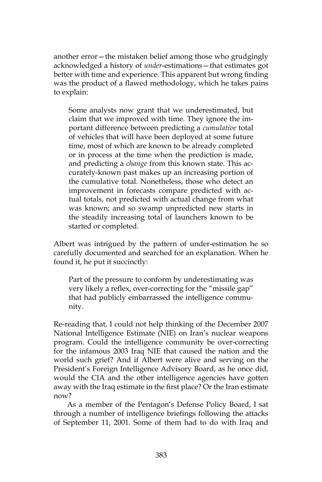another error—the mistaken belief among those who grudgingly acknowledged a history of *under*-estimations—that estimates got better with time and experience. This apparent but wrong finding was the product of a flawed methodology, which he takes pains to explain:

Some analysts now grant that we underestimated, but claim that we improved with time. They ignore the important difference between predicting a *cumulative* total of vehicles that will have been deployed at some future time, most of which are known to be already completed or in process at the time when the prediction is made, and predicting a *change* from this known state. This accurately-known past makes up an increasing portion of the cumulative total. Nonetheless, those who detect an improvement in forecasts compare predicted with actual totals, not predicted with actual change from what was known; and so swamp unpredicted new starts in the steadily increasing total of launchers known to be started or completed.

Albert was intrigued by the pattern of under-estimation he so carefully documented and searched for an explanation. When he found it, he put it succinctly:

Part of the pressure to conform by underestimating was very likely a reflex, over-correcting for the "missile gap" that had publicly embarrassed the intelligence community.

Re-reading that, I could not help thinking of the December 2007 National Intelligence Estimate (NIE) on Iran's nuclear weapons program. Could the intelligence community be over-correcting for the infamous 2003 Iraq NIE that caused the nation and the world such grief? And if Albert were alive and serving on the President's Foreign Intelligence Advisory Board, as he once did, would the CIA and the other intelligence agencies have gotten away with the Iraq estimate in the first place? Or the Iran estimate now?

As a member of the Pentagon's Defense Policy Board, I sat through a number of intelligence briefings following the attacks of September 11, 2001. Some of them had to do with Iraq and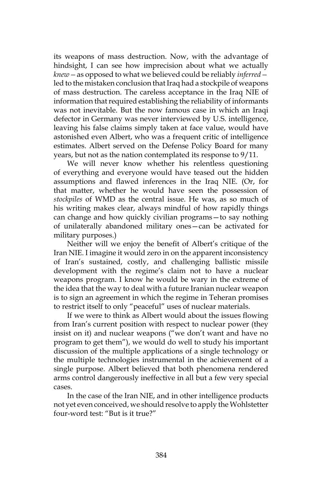its weapons of mass destruction. Now, with the advantage of hindsight, I can see how imprecision about what we actually *knew—*as opposed to what we believed could be reliably *inferred* led to the mistaken conclusion that Iraq had a stockpile of weapons of mass destruction. The careless acceptance in the Iraq NIE of information that required establishing the reliability of informants was not inevitable. But the now famous case in which an Iraqi defector in Germany was never interviewed by U.S. intelligence, leaving his false claims simply taken at face value, would have astonished even Albert, who was a frequent critic of intelligence estimates. Albert served on the Defense Policy Board for many years, but not as the nation contemplated its response to 9/11.

We will never know whether his relentless questioning of everything and everyone would have teased out the hidden assumptions and flawed inferences in the Iraq NIE. (Or, for that matter, whether he would have seen the possession of *stockpiles* of WMD as the central issue. He was, as so much of his writing makes clear, always mindful of how rapidly things can change and how quickly civilian programs—to say nothing of unilaterally abandoned military ones—can be activated for military purposes.)

Neither will we enjoy the benefit of Albert's critique of the Iran NIE. I imagine it would zero in on the apparent inconsistency of Iran's sustained, costly, and challenging ballistic missile development with the regime's claim not to have a nuclear weapons program. I know he would be wary in the extreme of the idea that the way to deal with a future Iranian nuclear weapon is to sign an agreement in which the regime in Teheran promises to restrict itself to only "peaceful" uses of nuclear materials.

If we were to think as Albert would about the issues flowing from Iran's current position with respect to nuclear power (they insist on it) and nuclear weapons ("we don't want and have no program to get them"), we would do well to study his important discussion of the multiple applications of a single technology or the multiple technologies instrumental in the achievement of a single purpose. Albert believed that both phenomena rendered arms control dangerously ineffective in all but a few very special cases.

In the case of the Iran NIE, and in other intelligence products not yet even conceived, we should resolve to apply the Wohlstetter four-word test: "But is it true?"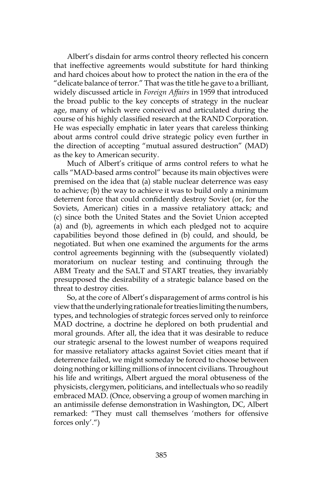Albert's disdain for arms control theory reflected his concern that ineffective agreements would substitute for hard thinking and hard choices about how to protect the nation in the era of the "delicate balance of terror." That was the title he gave to a brilliant, widely discussed article in *Foreign Affairs* in 1959 that introduced the broad public to the key concepts of strategy in the nuclear age, many of which were conceived and articulated during the course of his highly classified research at the RAND Corporation. He was especially emphatic in later years that careless thinking about arms control could drive strategic policy even further in the direction of accepting "mutual assured destruction" (MAD) as the key to American security.

Much of Albert's critique of arms control refers to what he calls "MAD-based arms control" because its main objectives were premised on the idea that (a) stable nuclear deterrence was easy to achieve; (b) the way to achieve it was to build only a minimum deterrent force that could confidently destroy Soviet (or, for the Soviets, American) cities in a massive retaliatory attack; and (c) since both the United States and the Soviet Union accepted (a) and (b), agreements in which each pledged not to acquire capabilities beyond those defined in (b) could, and should, be negotiated. But when one examined the arguments for the arms control agreements beginning with the (subsequently violated) moratorium on nuclear testing and continuing through the ABM Treaty and the SALT and START treaties, they invariably presupposed the desirability of a strategic balance based on the threat to destroy cities.

So, at the core of Albert's disparagement of arms control is his view that the underlying rationale for treaties limiting the numbers, types, and technologies of strategic forces served only to reinforce MAD doctrine, a doctrine he deplored on both prudential and moral grounds. After all, the idea that it was desirable to reduce our strategic arsenal to the lowest number of weapons required for massive retaliatory attacks against Soviet cities meant that if deterrence failed, we might someday be forced to choose between doing nothing or killing millions of innocent civilians. Throughout his life and writings, Albert argued the moral obtuseness of the physicists, clergymen, politicians, and intellectuals who so readily embraced MAD. (Once, observing a group of women marching in an antimissile defense demonstration in Washington, DC, Albert remarked: "They must call themselves 'mothers for offensive forces only'.")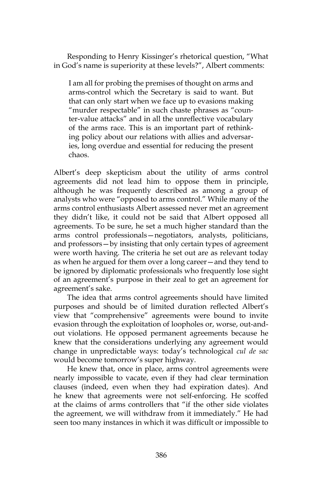Responding to Henry Kissinger's rhetorical question, "What in God's name is superiority at these levels?", Albert comments:

I am all for probing the premises of thought on arms and arms-control which the Secretary is said to want. But that can only start when we face up to evasions making "murder respectable" in such chaste phrases as "counter-value attacks" and in all the unreflective vocabulary of the arms race. This is an important part of rethinking policy about our relations with allies and adversaries, long overdue and essential for reducing the present chaos.

Albert's deep skepticism about the utility of arms control agreements did not lead him to oppose them in principle, although he was frequently described as among a group of analysts who were "opposed to arms control." While many of the arms control enthusiasts Albert assessed never met an agreement they didn't like, it could not be said that Albert opposed all agreements. To be sure, he set a much higher standard than the arms control professionals—negotiators, analysts, politicians, and professors—by insisting that only certain types of agreement were worth having. The criteria he set out are as relevant today as when he argued for them over a long career—and they tend to be ignored by diplomatic professionals who frequently lose sight of an agreement's purpose in their zeal to get an agreement for agreement's sake.

The idea that arms control agreements should have limited purposes and should be of limited duration reflected Albert's view that "comprehensive" agreements were bound to invite evasion through the exploitation of loopholes or, worse, out-andout violations. He opposed permanent agreements because he knew that the considerations underlying any agreement would change in unpredictable ways: today's technological *cul de sac* would become tomorrow's super highway.

He knew that, once in place, arms control agreements were nearly impossible to vacate, even if they had clear termination clauses (indeed, even when they had expiration dates). And he knew that agreements were not self-enforcing. He scoffed at the claims of arms controllers that "if the other side violates the agreement, we will withdraw from it immediately." He had seen too many instances in which it was difficult or impossible to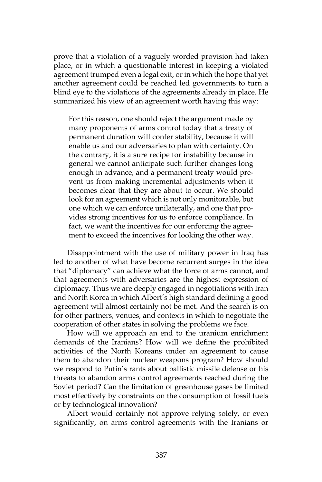prove that a violation of a vaguely worded provision had taken place, or in which a questionable interest in keeping a violated agreement trumped even a legal exit, or in which the hope that yet another agreement could be reached led governments to turn a blind eye to the violations of the agreements already in place. He summarized his view of an agreement worth having this way:

For this reason, one should reject the argument made by many proponents of arms control today that a treaty of permanent duration will confer stability, because it will enable us and our adversaries to plan with certainty. On the contrary, it is a sure recipe for instability because in general we cannot anticipate such further changes long enough in advance, and a permanent treaty would prevent us from making incremental adjustments when it becomes clear that they are about to occur. We should look for an agreement which is not only monitorable, but one which we can enforce unilaterally, and one that provides strong incentives for us to enforce compliance. In fact, we want the incentives for our enforcing the agreement to exceed the incentives for looking the other way.

Disappointment with the use of military power in Iraq has led to another of what have become recurrent surges in the idea that "diplomacy" can achieve what the force of arms cannot, and that agreements with adversaries are the highest expression of diplomacy. Thus we are deeply engaged in negotiations with Iran and North Korea in which Albert's high standard defining a good agreement will almost certainly not be met. And the search is on for other partners, venues, and contexts in which to negotiate the cooperation of other states in solving the problems we face.

How will we approach an end to the uranium enrichment demands of the Iranians? How will we define the prohibited activities of the North Koreans under an agreement to cause them to abandon their nuclear weapons program? How should we respond to Putin's rants about ballistic missile defense or his threats to abandon arms control agreements reached during the Soviet period? Can the limitation of greenhouse gases be limited most effectively by constraints on the consumption of fossil fuels or by technological innovation?

Albert would certainly not approve relying solely, or even significantly, on arms control agreements with the Iranians or